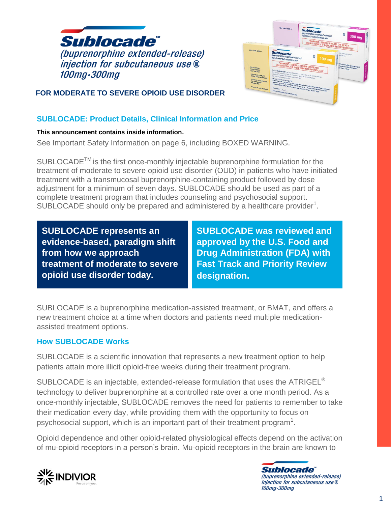



# **FOR MODERATE TO SEVERE OPIOID USE DISORDER**

# **SUBLOCADE: Product Details, Clinical Information and Price**

#### **This announcement contains inside information.**

See Important Safety Information on page 6, including BOXED WARNING.

 $SUBLOCALE^{TM}$  is the first once-monthly injectable buprenorphine formulation for the treatment of moderate to severe opioid use disorder (OUD) in patients who have initiated treatment with a transmucosal buprenorphine-containing product followed by dose adjustment for a minimum of seven days. SUBLOCADE should be used as part of a complete treatment program that includes counseling and psychosocial support. SUBLOCADE should only be prepared and administered by a healthcare provider<sup>1</sup>.

**SUBLOCADE represents an evidence-based, paradigm shift from how we approach treatment of moderate to severe opioid use disorder today.** 

**SUBLOCADE was reviewed and approved by the U.S. Food and Drug Administration (FDA) with Fast Track and Priority Review designation.**

SUBLOCADE is a buprenorphine medication-assisted treatment, or BMAT, and offers a new treatment choice at a time when doctors and patients need multiple medicationassisted treatment options.

#### **How SUBLOCADE Works**

SUBLOCADE is a scientific innovation that represents a new treatment option to help patients attain more illicit opioid-free weeks during their treatment program.

SUBLOCADE is an injectable, extended-release formulation that uses the ATRIGEL® technology to deliver buprenorphine at a controlled rate over a one month period. As a once-monthly injectable, SUBLOCADE removes the need for patients to remember to take their medication every day, while providing them with the opportunity to focus on psychosocial support, which is an important part of their treatment program<sup>1</sup>.

Opioid dependence and other opioid-related physiological effects depend on the activation of mu-opioid receptors in a person's brain. Mu-opioid receptors in the brain are known to



Sublocade® (buprenorphine extended-release) injection for subcutaneous use  $\mathbb G$ 100mg · 300mg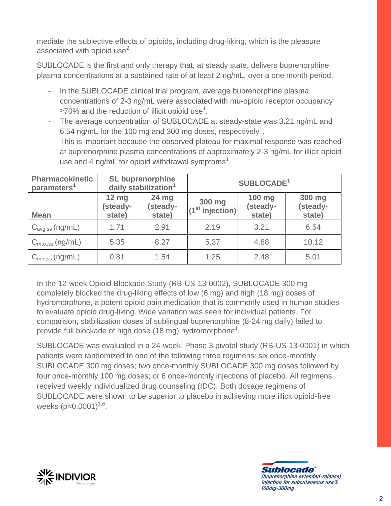mediate the subjective effects of opioids, including drug-liking, which is the pleasure associated with opioid use<sup>2</sup>.

SUBLOCADE is the first and only therapy that, at steady state, delivers buprenorphine plasma concentrations at a sustained rate of at least 2 ng/mL, over a one month period.

- In the SUBLOCADE clinical trial program, average buprenorphine plasma concentrations of 2-3 ng/mL were associated with mu-opioid receptor occupancy ≥70% and the reduction of illicit opioid use<sup>1</sup>.
- The average concentration of SUBLOCADE at steady-state was 3.21 ng/mL and 6.54 ng/mL for the 100 mg and 300 mg doses, respectively<sup>1</sup>.
- This is important because the observed plateau for maximal response was reached at buprenorphine plasma concentrations of approximately 2-3 ng/mL for illicit opioid use and 4 ng/mL for opioid withdrawal symptoms<sup>1</sup>.

| <b>Pharmacokinetic</b><br>parameters <sup>1</sup> | <b>SL buprenorphine</b><br>daily stabilization <sup>1</sup> |                             | SUBLOCADE <sup>1</sup>                |                              |                              |
|---------------------------------------------------|-------------------------------------------------------------|-----------------------------|---------------------------------------|------------------------------|------------------------------|
| <b>Mean</b>                                       | 12 <sub>mg</sub><br>(steady-<br>state)                      | 24 mg<br>(steady-<br>state) | 300 mg<br>(1 <sup>st</sup> injection) | 100 mg<br>(steady-<br>state) | 300 mg<br>(steady-<br>state) |
| $C_{\text{avg,ss}}$ (ng/mL)                       | 1.71                                                        | 2.91                        | 2.19                                  | 3.21                         | 6.54                         |
| $C_{\text{max,ss}}$ (ng/mL)                       | 5.35                                                        | 8.27                        | 5.37                                  | 4.88                         | 10.12                        |
| $C_{\text{min,ss}}$ (ng/mL)                       | 0.81                                                        | 1.54                        | 1.25                                  | 2.48                         | 5.01                         |

In the 12-week Opioid Blockade Study (RB-US-13-0002), SUBLOCADE 300 mg completely blocked the drug-liking effects of low (6 mg) and high (18 mg) doses of hydromorphone, a potent opioid pain medication that is commonly used in human studies to evaluate opioid drug-liking. Wide variation was seen for individual patients. For comparison, stabilization doses of sublingual buprenorphine (8-24 mg daily) failed to provide full blockade of high dose (18 mg) hydromorphone<sup>1</sup>.

SUBLOCADE was evaluated in a 24-week, Phase 3 pivotal study (RB-US-13-0001) in which patients were randomized to one of the following three regimens: six once-monthly SUBLOCADE 300 mg doses; two once-monthly SUBLOCADE 300 mg doses followed by four once-monthly 100 mg doses; or 6 once-monthly injections of placebo. All regimens received weekly individualized drug counseling (IDC). Both dosage regimens of SUBLOCADE were shown to be superior to placebo in achieving more illicit opioid-free weeks (p<0.0001)<sup>1,6</sup>.



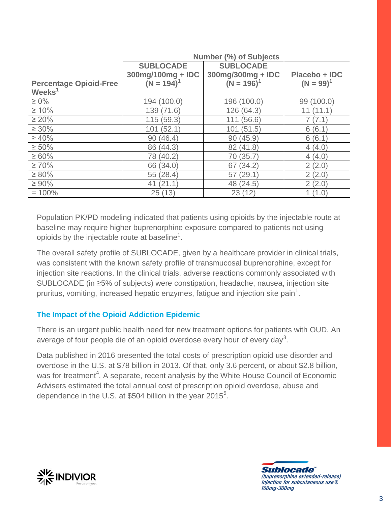|                               | <b>Number (%) of Subjects</b> |                   |                |  |  |
|-------------------------------|-------------------------------|-------------------|----------------|--|--|
|                               | <b>SUBLOCADE</b>              | <b>SUBLOCADE</b>  |                |  |  |
|                               | 300mg/100mg + IDC             | 300mg/300mg + IDC | Placebo + IDC  |  |  |
| <b>Percentage Opioid-Free</b> | $(N = 194)^{1}$               | $(N = 196)^{1}$   | $(N = 99)^{1}$ |  |  |
| Weeks <sup>1</sup>            |                               |                   |                |  |  |
| $\geq 0\%$                    | 194 (100.0)                   | 196 (100.0)       | 99 (100.0)     |  |  |
| $\geq 10\%$                   | 139 (71.6)                    | 126 (64.3)        | (11.1)         |  |  |
| $\geq 20\%$                   | 115 (59.3)                    | (56.6)<br>111     | 7.1            |  |  |
| $\geq 30\%$                   | 101 (52.1)                    | 101 (51.5)        | 6(6.1)         |  |  |
| $\geq 40\%$                   | (46.4)<br>90                  | 90(45.9)          | 6(6.1)         |  |  |
| $\geq 50\%$                   | 86 (44.3)                     | 82(41.8)          | 4(4.0)         |  |  |
| $\geq 60\%$                   | 78 (40.2)                     | (35.7)<br>70.     | 4(4.0)         |  |  |
| $\geq 70\%$                   | 66 (34.0)                     | (34.2)<br>67      | 2(2.0)         |  |  |
| $\geq 80\%$                   | 55 (28.4)                     | (29.1)<br>57      | 2(2.0)         |  |  |
| $\geq 90\%$                   | (21.1)<br>41                  | 48 (24.5)         | 2(2.0)         |  |  |
| $= 100%$                      | 25 (13)                       | 23(12)            | (1.0)          |  |  |

Population PK/PD modeling indicated that patients using opioids by the injectable route at baseline may require higher buprenorphine exposure compared to patients not using opioids by the injectable route at baseline<sup>1</sup>.

The overall safety profile of SUBLOCADE, given by a healthcare provider in clinical trials, was consistent with the known safety profile of transmucosal buprenorphine, except for injection site reactions. In the clinical trials, adverse reactions commonly associated with SUBLOCADE (in ≥5% of subjects) were constipation, headache, nausea, injection site pruritus, vomiting, increased hepatic enzymes, fatigue and injection site pain<sup>1</sup>.

# **The Impact of the Opioid Addiction Epidemic**

There is an urgent public health need for new treatment options for patients with OUD. An average of four people die of an opioid overdose every hour of every day<sup>3</sup>.

Data published in 2016 presented the total costs of prescription opioid use disorder and overdose in the U.S. at \$78 billion in 2013. Of that, only 3.6 percent, or about \$2.8 billion, was for treatment<sup>4</sup>. A separate, recent analysis by the White House Council of Economic Advisers estimated the total annual cost of prescription opioid overdose, abuse and dependence in the U.S. at \$504 billion in the year 2015<sup>5</sup>.



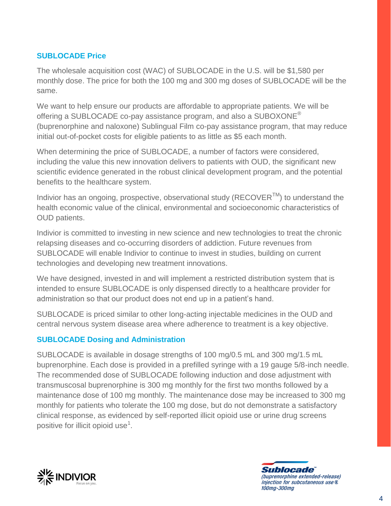# **SUBLOCADE Price**

The wholesale acquisition cost (WAC) of SUBLOCADE in the U.S. will be \$1,580 per monthly dose. The price for both the 100 mg and 300 mg doses of SUBLOCADE will be the same.

We want to help ensure our products are affordable to appropriate patients. We will be offering a SUBLOCADE co-pay assistance program, and also a SUBOXONE<sup>®</sup> (buprenorphine and naloxone) Sublingual Film co-pay assistance program, that may reduce initial out-of-pocket costs for eligible patients to as little as \$5 each month.

When determining the price of SUBLOCADE, a number of factors were considered, including the value this new innovation delivers to patients with OUD, the significant new scientific evidence generated in the robust clinical development program, and the potential benefits to the healthcare system.

Indivior has an ongoing, prospective, observational study (RECOVER<sup>TM</sup>) to understand the health economic value of the clinical, environmental and socioeconomic characteristics of OUD patients.

Indivior is committed to investing in new science and new technologies to treat the chronic relapsing diseases and co-occurring disorders of addiction. Future revenues from SUBLOCADE will enable Indivior to continue to invest in studies, building on current technologies and developing new treatment innovations.

We have designed, invested in and will implement a restricted distribution system that is intended to ensure SUBLOCADE is only dispensed directly to a healthcare provider for administration so that our product does not end up in a patient's hand.

SUBLOCADE is priced similar to other long-acting injectable medicines in the OUD and central nervous system disease area where adherence to treatment is a key objective.

# **SUBLOCADE Dosing and Administration**

SUBLOCADE is available in dosage strengths of 100 mg/0.5 mL and 300 mg/1.5 mL buprenorphine. Each dose is provided in a prefilled syringe with a 19 gauge 5/8-inch needle. The recommended dose of SUBLOCADE following induction and dose adjustment with transmuscosal buprenorphine is 300 mg monthly for the first two months followed by a maintenance dose of 100 mg monthly. The maintenance dose may be increased to 300 mg monthly for patients who tolerate the 100 mg dose, but do not demonstrate a satisfactory clinical response, as evidenced by self-reported illicit opioid use or urine drug screens positive for illicit opioid use<sup>1</sup>.



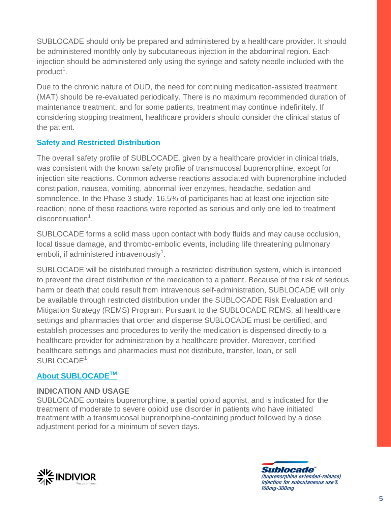SUBLOCADE should only be prepared and administered by a healthcare provider. It should be administered monthly only by subcutaneous injection in the abdominal region. Each injection should be administered only using the syringe and safety needle included with the product<sup>1</sup>.

Due to the chronic nature of OUD, the need for continuing medication-assisted treatment (MAT) should be re-evaluated periodically. There is no maximum recommended duration of maintenance treatment, and for some patients, treatment may continue indefinitely. If considering stopping treatment, healthcare providers should consider the clinical status of the patient.

# **Safety and Restricted Distribution**

The overall safety profile of SUBLOCADE, given by a healthcare provider in clinical trials, was consistent with the known safety profile of transmucosal buprenorphine, except for injection site reactions. Common adverse reactions associated with buprenorphine included constipation, nausea, vomiting, abnormal liver enzymes, headache, sedation and somnolence. In the Phase 3 study, 16.5% of participants had at least one injection site reaction; none of these reactions were reported as serious and only one led to treatment discontinuation<sup>1</sup>.

SUBLOCADE forms a solid mass upon contact with body fluids and may cause occlusion, local tissue damage, and thrombo-embolic events, including life threatening pulmonary emboli, if administered intravenously<sup>1</sup>.

SUBLOCADE will be distributed through a restricted distribution system, which is intended to prevent the direct distribution of the medication to a patient. Because of the risk of serious harm or death that could result from intravenous self-administration, SUBLOCADE will only be available through restricted distribution under the SUBLOCADE Risk Evaluation and Mitigation Strategy (REMS) Program. Pursuant to the SUBLOCADE REMS, all healthcare settings and pharmacies that order and dispense SUBLOCADE must be certified, and establish processes and procedures to verify the medication is dispensed directly to a healthcare provider for administration by a healthcare provider. Moreover, certified healthcare settings and pharmacies must not distribute, transfer, loan, or sell SUBLOCADE<sup>1</sup>.

# **About SUBLOCADETM**

# **INDICATION AND USAGE**

SUBLOCADE contains buprenorphine, a partial opioid agonist, and is indicated for the treatment of moderate to severe opioid use disorder in patients who have initiated treatment with a transmucosal buprenorphine-containing product followed by a dose adjustment period for a minimum of seven days.



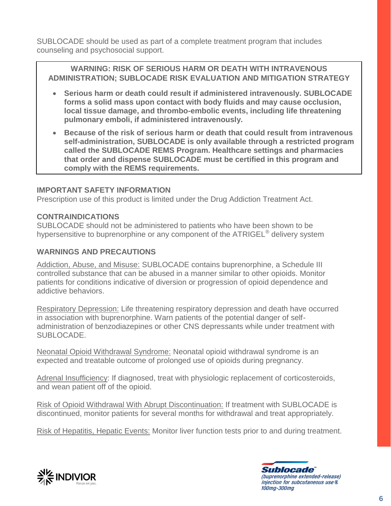SUBLOCADE should be used as part of a complete treatment program that includes counseling and psychosocial support.

# **WARNING: RISK OF SERIOUS HARM OR DEATH WITH INTRAVENOUS ADMINISTRATION; SUBLOCADE RISK EVALUATION AND MITIGATION STRATEGY**

- **Serious harm or death could result if administered intravenously. SUBLOCADE forms a solid mass upon contact with body fluids and may cause occlusion, local tissue damage, and thrombo-embolic events, including life threatening pulmonary emboli, if administered intravenously.**
- **Because of the risk of serious harm or death that could result from intravenous self-administration, SUBLOCADE is only available through a restricted program called the SUBLOCADE REMS Program. Healthcare settings and pharmacies that order and dispense SUBLOCADE must be certified in this program and comply with the REMS requirements.**

# **IMPORTANT SAFETY INFORMATION**

Prescription use of this product is limited under the Drug Addiction Treatment Act.

#### **CONTRAINDICATIONS**

SUBLOCADE should not be administered to patients who have been shown to be hypersensitive to buprenorphine or any component of the ATRIGEL<sup>®</sup> delivery system

#### **WARNINGS AND PRECAUTIONS**

Addiction, Abuse, and Misuse: SUBLOCADE contains buprenorphine, a Schedule III controlled substance that can be abused in a manner similar to other opioids. Monitor patients for conditions indicative of diversion or progression of opioid dependence and addictive behaviors.

Respiratory Depression: Life threatening respiratory depression and death have occurred in association with buprenorphine. Warn patients of the potential danger of selfadministration of benzodiazepines or other CNS depressants while under treatment with SUBLOCADE.

Neonatal Opioid Withdrawal Syndrome: Neonatal opioid withdrawal syndrome is an expected and treatable outcome of prolonged use of opioids during pregnancy.

Adrenal Insufficiency: If diagnosed, treat with physiologic replacement of corticosteroids, and wean patient off of the opioid.

Risk of Opioid Withdrawal With Abrupt Discontinuation: If treatment with SUBLOCADE is discontinued, monitor patients for several months for withdrawal and treat appropriately.

Risk of Hepatitis, Hepatic Events: Monitor liver function tests prior to and during treatment.



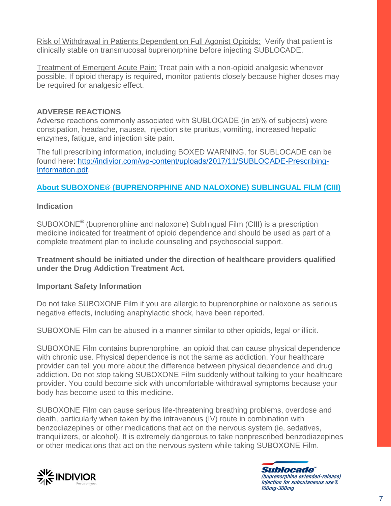Risk of Withdrawal in Patients Dependent on Full Agonist Opioids: Verify that patient is clinically stable on transmucosal buprenorphine before injecting SUBLOCADE.

Treatment of Emergent Acute Pain: Treat pain with a non-opioid analgesic whenever possible. If opioid therapy is required, monitor patients closely because higher doses may be required for analgesic effect.

#### **ADVERSE REACTIONS**

Adverse reactions commonly associated with SUBLOCADE (in ≥5% of subjects) were constipation, headache, nausea, injection site pruritus, vomiting, increased hepatic enzymes, fatigue, and injection site pain.

The full prescribing information, including BOXED WARNING, for SUBLOCADE can be found here: [http://indivior.com/wp-content/uploads/2017/11/SUBLOCADE-Prescribing-](http://indivior.com/wp-content/uploads/2017/11/SUBLOCADE-Prescribing-Information.pdf)[Information.pdf.](http://indivior.com/wp-content/uploads/2017/11/SUBLOCADE-Prescribing-Information.pdf)

# **About SUBOXONE® (BUPRENORPHINE AND NALOXONE) SUBLINGUAL FILM (CIII)**

# **Indication**

SUBOXONE<sup>®</sup> (buprenorphine and naloxone) Sublingual Film (CIII) is a prescription medicine indicated for treatment of opioid dependence and should be used as part of a complete treatment plan to include counseling and psychosocial support.

**Treatment should be initiated under the direction of healthcare providers qualified under the Drug Addiction Treatment Act.**

# **Important Safety Information**

Do not take SUBOXONE Film if you are allergic to buprenorphine or naloxone as serious negative effects, including anaphylactic shock, have been reported.

SUBOXONE Film can be abused in a manner similar to other opioids, legal or illicit.

SUBOXONE Film contains buprenorphine, an opioid that can cause physical dependence with chronic use. Physical dependence is not the same as addiction. Your healthcare provider can tell you more about the difference between physical dependence and drug addiction. Do not stop taking SUBOXONE Film suddenly without talking to your healthcare provider. You could become sick with uncomfortable withdrawal symptoms because your body has become used to this medicine.

SUBOXONE Film can cause serious life-threatening breathing problems, overdose and death, particularly when taken by the intravenous (IV) route in combination with benzodiazepines or other medications that act on the nervous system (ie, sedatives, tranquilizers, or alcohol). It is extremely dangerous to take nonprescribed benzodiazepines or other medications that act on the nervous system while taking SUBOXONE Film.



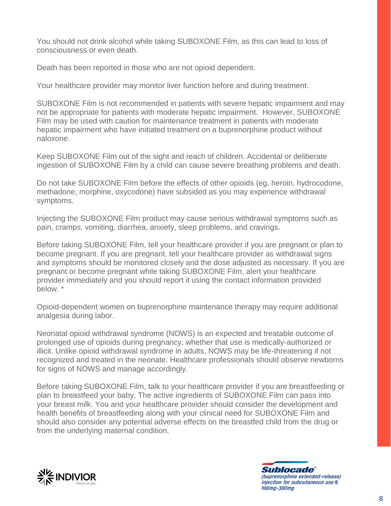You should not drink alcohol while taking SUBOXONE Film, as this can lead to loss of consciousness or even death.

Death has been reported in those who are not opioid dependent.

Your healthcare provider may monitor liver function before and during treatment.

SUBOXONE Film is not recommended in patients with severe hepatic impairment and may not be appropriate for patients with moderate hepatic impairment. However, SUBOXONE Film may be used with caution for maintenance treatment in patients with moderate hepatic impairment who have initiated treatment on a buprenorphine product without naloxone.

Keep SUBOXONE Film out of the sight and reach of children. Accidental or deliberate ingestion of SUBOXONE Film by a child can cause severe breathing problems and death.

Do not take SUBOXONE Film before the effects of other opioids (eg, heroin, hydrocodone, methadone, morphine, oxycodone) have subsided as you may experience withdrawal symptoms.

Injecting the SUBOXONE Film product may cause serious withdrawal symptoms such as pain, cramps, vomiting, diarrhea, anxiety, sleep problems, and cravings.

Before taking SUBOXONE Film, tell your healthcare provider if you are pregnant or plan to become pregnant. If you are pregnant, tell your healthcare provider as withdrawal signs and symptoms should be monitored closely and the dose adjusted as necessary. If you are pregnant or become pregnant while taking SUBOXONE Film, alert your healthcare provider immediately and you should report it using the contact information provided below. \*

Opioid‐dependent women on buprenorphine maintenance therapy may require additional analgesia during labor.

Neonatal opioid withdrawal syndrome (NOWS) is an expected and treatable outcome of prolonged use of opioids during pregnancy, whether that use is medically-authorized or illicit. Unlike opioid withdrawal syndrome in adults, NOWS may be life-threatening if not recognized and treated in the neonate. Healthcare professionals should observe newborns for signs of NOWS and manage accordingly.

Before taking SUBOXONE Film, talk to your healthcare provider if you are breastfeeding or plan to breastfeed your baby. The active ingredients of SUBOXONE Film can pass into your breast milk. You and your healthcare provider should consider the development and health benefits of breastfeeding along with your clinical need for SUBOXONE Film and should also consider any potential adverse effects on the breastfed child from the drug or from the underlying maternal condition.